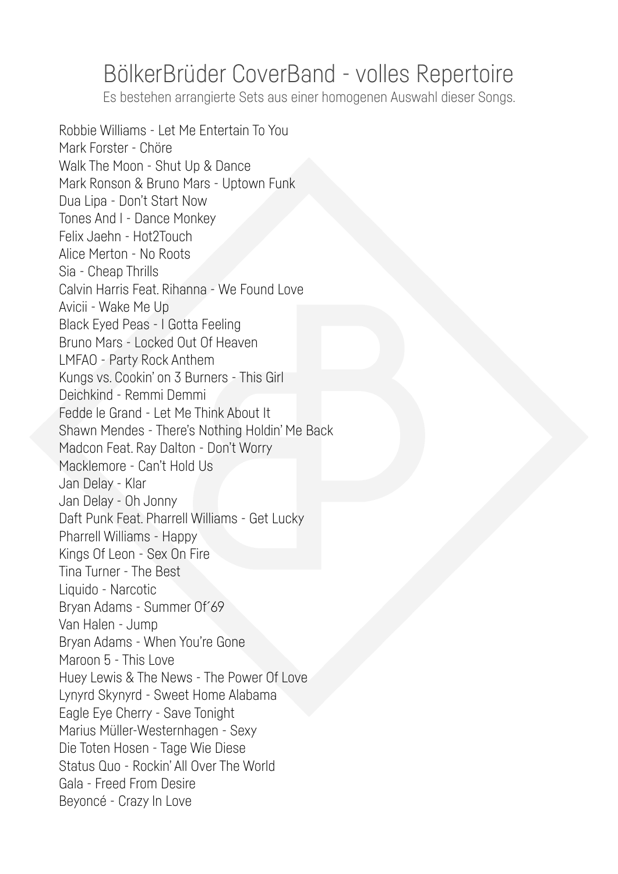## BölkerBrüder CoverBand - volles Repertoire

Es bestehen arrangierte Sets aus einer homogenen Auswahl dieser Songs.

Robbie Williams - Let Me Entertain To You Mark Forster - Chöre Walk The Moon - Shut Up & Dance Mark Ronson & Bruno Mars - Uptown Funk Dua Lipa - Don't Start Now Tones And I - Dance Monkey Felix Jaehn - Hot2Touch Alice Merton - No Roots Sia - Cheap Thrills Calvin Harris Feat. Rihanna - We Found Love Avicii - Wake Me Up Black Eyed Peas - I Gotta Feeling Bruno Mars - Locked Out Of Heaven LMFAO - Party Rock Anthem Kungs vs. Cookin' on 3 Burners - This Girl Deichkind - Remmi Demmi Fedde le Grand - Let Me Think About It Shawn Mendes - There's Nothing Holdin' Me Back Madcon Feat. Ray Dalton - Don't Worry Macklemore - Can't Hold Us Jan Delay - Klar Jan Delay - Oh Jonny Daft Punk Feat. Pharrell Williams - Get Lucky Pharrell Williams - Happy Kings Of Leon - Sex On Fire Tina Turner - The Best Liquido - Narcotic Bryan Adams - Summer Of́69 Van Halen - Jump Bryan Adams - When You're Gone Maroon 5 - This Love Huey Lewis & The News - The Power Of Love Lynyrd Skynyrd - Sweet Home Alabama Eagle Eye Cherry - Save Tonight Marius Müller-Westernhagen - Sexy Die Toten Hosen - Tage Wie Diese Status Quo - Rockin' All Over The World Gala - Freed From Desire Beyoncé - Crazy In Love